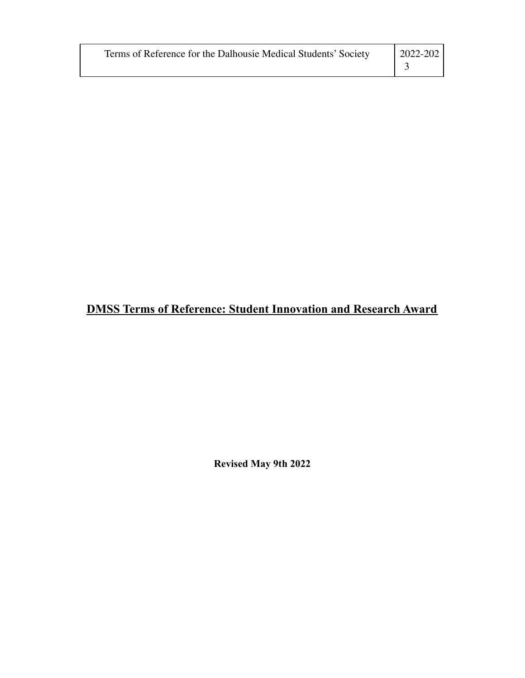| Terms of Reference for the Dalhousie Medical Students' Society | $\vert$ 2022-202 |
|----------------------------------------------------------------|------------------|
|                                                                |                  |

## **DMSS Terms of Reference: Student Innovation and Research Award**

**Revised May 9th 2022**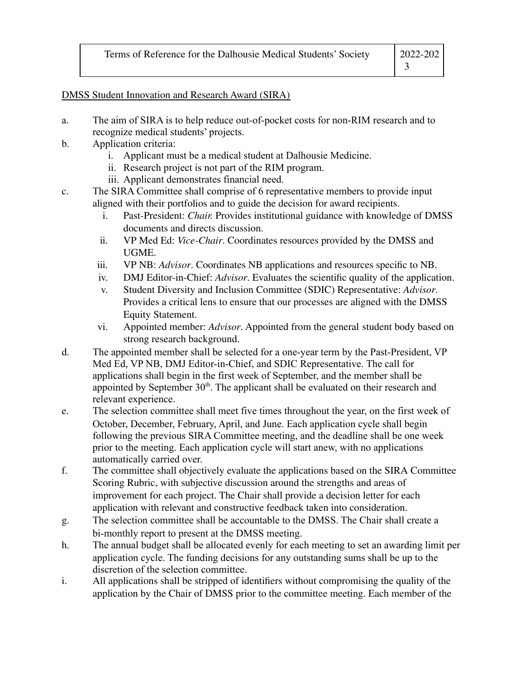## DMSS Student Innovation and Research Award (SIRA)

- a. The aim of SIRA is to help reduce out-of-pocket costs for non-RIM research and to recognize medical students' projects.
- b. Application criteria:
	- i. Applicant must be a medical student at Dalhousie Medicine.
	- ii. Research project is not part of the RIM program.
	- iii. Applicant demonstrates financial need.
- c. The SIRA Committee shall comprise of 6 representative members to provide input aligned with their portfolios and to guide the decision for award recipients.
	- i. Past-President: *Chair.* Provides institutional guidance with knowledge of DMSS documents and directs discussion.
	- ii. VP Med Ed: *Vice-Chair*. Coordinates resources provided by the DMSS and UGME.
	- iii. VP NB: *Advisor*. Coordinates NB applications and resources specific to NB.
	- iv. DMJ Editor-in-Chief: *Advisor*. Evaluates the scientific quality of the application.
	- v. Student Diversity and Inclusion Committee (SDIC) Representative: *Advisor*. Provides a critical lens to ensure that our processes are aligned with the DMSS Equity Statement.
	- vi. Appointed member: *Advisor*. Appointed from the general student body based on strong research background.
- d. The appointed member shall be selected for a one-year term by the Past-President, VP Med Ed, VP NB, DMJ Editor-in-Chief, and SDIC Representative. The call for applications shall begin in the first week of September, and the member shall be appointed by September  $30<sup>th</sup>$ . The applicant shall be evaluated on their research and relevant experience.
- e. The selection committee shall meet five times throughout the year, on the first week of October, December, February, April, and June. Each application cycle shall begin following the previous SIRA Committee meeting, and the deadline shall be one week prior to the meeting. Each application cycle will start anew, with no applications automatically carried over.
- f. The committee shall objectively evaluate the applications based on the SIRA Committee Scoring Rubric, with subjective discussion around the strengths and areas of improvement for each project. The Chair shall provide a decision letter for each application with relevant and constructive feedback taken into consideration.
- g. The selection committee shall be accountable to the DMSS. The Chair shall create a bi-monthly report to present at the DMSS meeting.
- h. The annual budget shall be allocated evenly for each meeting to set an awarding limit per application cycle. The funding decisions for any outstanding sums shall be up to the discretion of the selection committee.
- i. All applications shall be stripped of identifiers without compromising the quality of the application by the Chair of DMSS prior to the committee meeting. Each member of the